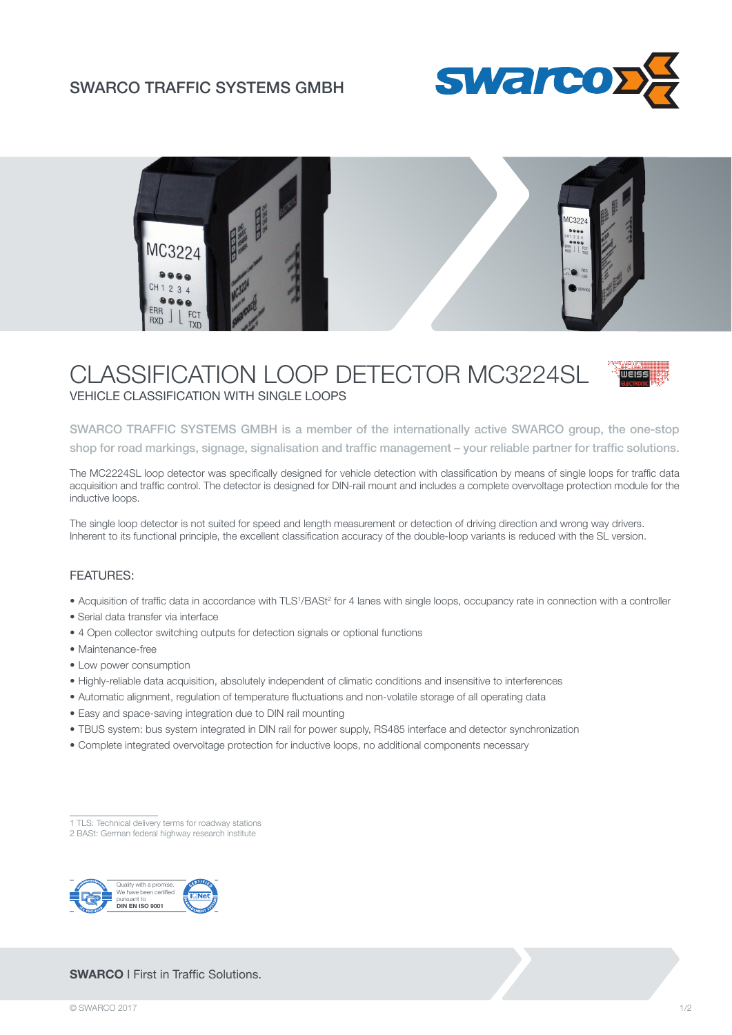## SWARCO TRAFFIC SYSTEMS GMBH





# CLASSIFICATION LOOP DETECTOR MC3224SL VEHICLE CLASSIFICATION WITH SINGLE LOOPS

SWARCO TRAFFIC SYSTEMS GMBH is a member of the internationally active SWARCO group, the one-stop shop for road markings, signage, signalisation and traffic management – your reliable partner for traffic solutions.

The MC2224SL loop detector was specifically designed for vehicle detection with classification by means of single loops for traffic data acquisition and traffic control. The detector is designed for DIN-rail mount and includes a complete overvoltage protection module for the inductive loops.

The single loop detector is not suited for speed and length measurement or detection of driving direction and wrong way drivers. Inherent to its functional principle, the excellent classification accuracy of the double-loop variants is reduced with the SL version.

#### FEATURES:

- Acquisition of traffic data in accordance with TLS<sup>1</sup>/BASt<sup>2</sup> for 4 lanes with single loops, occupancy rate in connection with a controller
- Serial data transfer via interface
- 4 Open collector switching outputs for detection signals or optional functions
- Maintenance-free
- Low power consumption
- Highly-reliable data acquisition, absolutely independent of climatic conditions and insensitive to interferences
- Automatic alignment, regulation of temperature fluctuations and non-volatile storage of all operating data
- Easy and space-saving integration due to DIN rail mounting
- TBUS system: bus system integrated in DIN rail for power supply, RS485 interface and detector synchronization
- Complete integrated overvoltage protection for inductive loops, no additional components necessary

### **SWARCO** I First in Traffic Solutions.

<sup>1</sup> TLS: Technical delivery terms for roadway stations 2 BASt: German federal highway research institute

Quality with a promise. We have been certified pursuant to **DIN EN ISO 9001**